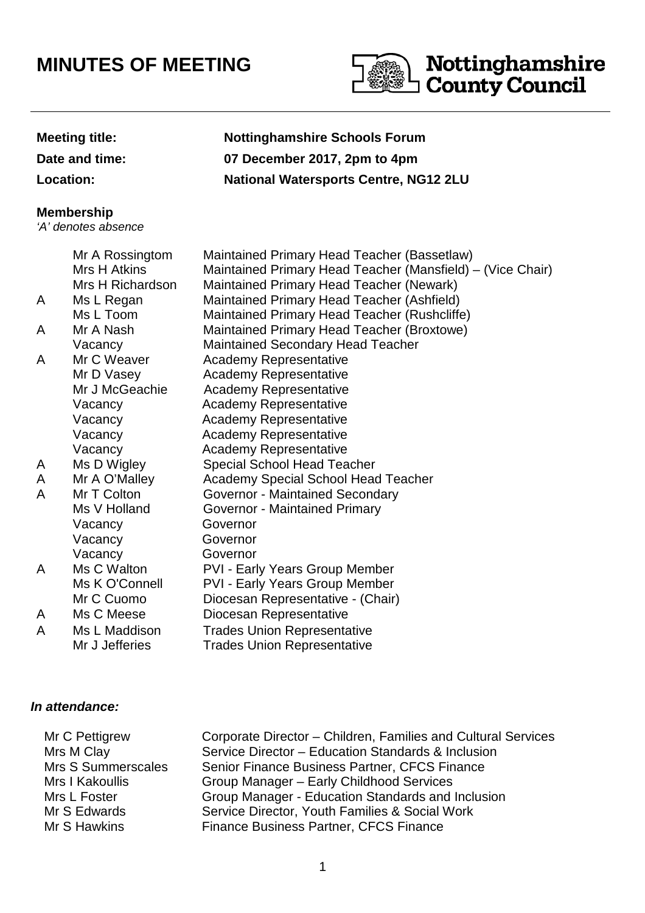# **MINUTES OF MEETING**



## **Meeting title: Nottinghamshire Schools Forum**

**Date and time: 07 December 2017, 2pm to 4pm**

**Location: National Watersports Centre, NG12 2LU**

#### **Membership**

'A' denotes absence

### Mr A Rossingtom Maintained Primary Head Teacher (Bassetlaw) Mrs H Atkins Maintained Primary Head Teacher (Mansfield) – (Vice Chair) Mrs H Richardson Maintained Primary Head Teacher (Newark) A Ms L Regan Maintained Primary Head Teacher (Ashfield) Ms L Toom Maintained Primary Head Teacher (Rushcliffe) A Mr A Nash Maintained Primary Head Teacher (Broxtowe) Vacancy Maintained Secondary Head Teacher A Mr C Weaver Academy Representative Mr D Vasey **Academy Representative** Mr J McGeachie Academy Representative Vacancy Academy Representative Vacancy Academy Representative Vacancy Academy Representative Vacancy **Academy Representative** A Ms D Wigley Special School Head Teacher A Mr A O'Malley Academy Special School Head Teacher A Mr T Colton Governor - Maintained Secondary Ms V Holland Governor - Maintained Primary Vacancy Governor Vacancy Governor Vacancy Governor A Ms C Walton PVI - Early Years Group Member Ms K O'Connell PVI - Early Years Group Member Mr C Cuomo Diocesan Representative - (Chair) A Ms C Meese Diocesan Representative A Ms L Maddison Trades Union Representative Mr J Jefferies Trades Union Representative

## **In attendance:**

| Mr C Pettigrew     | Corporate Director – Children, Families and Cultural Services |
|--------------------|---------------------------------------------------------------|
| Mrs M Clay         | Service Director - Education Standards & Inclusion            |
| Mrs S Summerscales | Senior Finance Business Partner, CFCS Finance                 |
| Mrs I Kakoullis    | Group Manager - Early Childhood Services                      |
| Mrs L Foster       | Group Manager - Education Standards and Inclusion             |
| Mr S Edwards       | Service Director, Youth Families & Social Work                |
| Mr S Hawkins       | Finance Business Partner, CFCS Finance                        |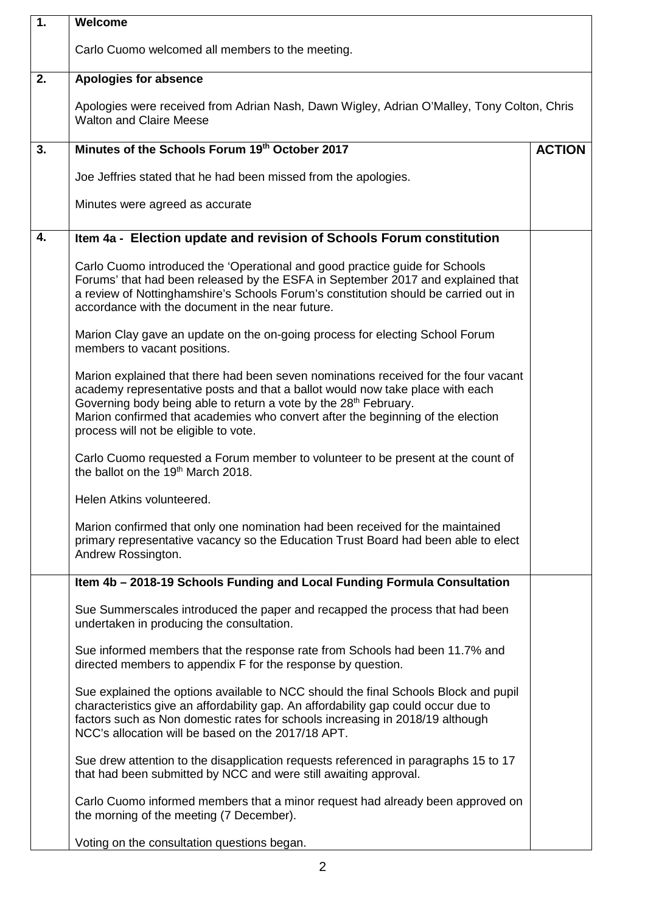| 1. | Welcome                                                                                                                                                                                                                                                                                                                                                                          |               |  |
|----|----------------------------------------------------------------------------------------------------------------------------------------------------------------------------------------------------------------------------------------------------------------------------------------------------------------------------------------------------------------------------------|---------------|--|
|    | Carlo Cuomo welcomed all members to the meeting.                                                                                                                                                                                                                                                                                                                                 |               |  |
| 2. | Apologies for absence                                                                                                                                                                                                                                                                                                                                                            |               |  |
|    | Apologies were received from Adrian Nash, Dawn Wigley, Adrian O'Malley, Tony Colton, Chris<br><b>Walton and Claire Meese</b>                                                                                                                                                                                                                                                     |               |  |
| 3. | Minutes of the Schools Forum 19th October 2017                                                                                                                                                                                                                                                                                                                                   | <b>ACTION</b> |  |
|    | Joe Jeffries stated that he had been missed from the apologies.                                                                                                                                                                                                                                                                                                                  |               |  |
|    | Minutes were agreed as accurate                                                                                                                                                                                                                                                                                                                                                  |               |  |
| 4. | Item 4a - Election update and revision of Schools Forum constitution                                                                                                                                                                                                                                                                                                             |               |  |
|    | Carlo Cuomo introduced the 'Operational and good practice guide for Schools<br>Forums' that had been released by the ESFA in September 2017 and explained that<br>a review of Nottinghamshire's Schools Forum's constitution should be carried out in<br>accordance with the document in the near future.                                                                        |               |  |
|    | Marion Clay gave an update on the on-going process for electing School Forum<br>members to vacant positions.                                                                                                                                                                                                                                                                     |               |  |
|    | Marion explained that there had been seven nominations received for the four vacant<br>academy representative posts and that a ballot would now take place with each<br>Governing body being able to return a vote by the 28 <sup>th</sup> February.<br>Marion confirmed that academies who convert after the beginning of the election<br>process will not be eligible to vote. |               |  |
|    | Carlo Cuomo requested a Forum member to volunteer to be present at the count of<br>the ballot on the 19 <sup>th</sup> March 2018.                                                                                                                                                                                                                                                |               |  |
|    | Helen Atkins volunteered.                                                                                                                                                                                                                                                                                                                                                        |               |  |
|    | Marion confirmed that only one nomination had been received for the maintained<br>primary representative vacancy so the Education Trust Board had been able to elect<br>Andrew Rossington.                                                                                                                                                                                       |               |  |
|    | Item 4b - 2018-19 Schools Funding and Local Funding Formula Consultation                                                                                                                                                                                                                                                                                                         |               |  |
|    | Sue Summerscales introduced the paper and recapped the process that had been<br>undertaken in producing the consultation.                                                                                                                                                                                                                                                        |               |  |
|    | Sue informed members that the response rate from Schools had been 11.7% and<br>directed members to appendix F for the response by question.                                                                                                                                                                                                                                      |               |  |
|    | Sue explained the options available to NCC should the final Schools Block and pupil<br>characteristics give an affordability gap. An affordability gap could occur due to<br>factors such as Non domestic rates for schools increasing in 2018/19 although<br>NCC's allocation will be based on the 2017/18 APT.                                                                 |               |  |
|    | Sue drew attention to the disapplication requests referenced in paragraphs 15 to 17<br>that had been submitted by NCC and were still awaiting approval.                                                                                                                                                                                                                          |               |  |
|    | Carlo Cuomo informed members that a minor request had already been approved on<br>the morning of the meeting (7 December).                                                                                                                                                                                                                                                       |               |  |
|    | Voting on the consultation questions began.                                                                                                                                                                                                                                                                                                                                      |               |  |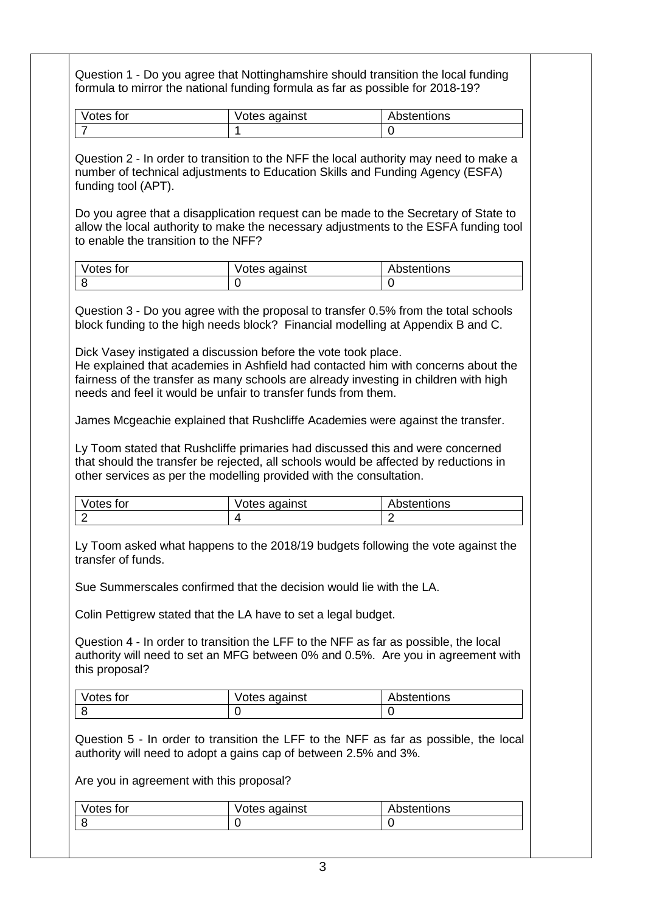| Votes for                                                                     | Votes against                                                                                                                                                                                                                                                                                                                                                                                                                   | Abstentions                                                                                                                                                                                                                                                                                                                                                                                                                                                                 |
|-------------------------------------------------------------------------------|---------------------------------------------------------------------------------------------------------------------------------------------------------------------------------------------------------------------------------------------------------------------------------------------------------------------------------------------------------------------------------------------------------------------------------|-----------------------------------------------------------------------------------------------------------------------------------------------------------------------------------------------------------------------------------------------------------------------------------------------------------------------------------------------------------------------------------------------------------------------------------------------------------------------------|
| 7                                                                             |                                                                                                                                                                                                                                                                                                                                                                                                                                 | 0                                                                                                                                                                                                                                                                                                                                                                                                                                                                           |
| funding tool (APT).<br>to enable the transition to the NFF?<br>Votes for<br>8 | number of technical adjustments to Education Skills and Funding Agency (ESFA)<br>Votes against<br>$\overline{0}$<br>block funding to the high needs block? Financial modelling at Appendix B and C.<br>Dick Vasey instigated a discussion before the vote took place.<br>fairness of the transfer as many schools are already investing in children with high<br>needs and feel it would be unfair to transfer funds from them. | Question 2 - In order to transition to the NFF the local authority may need to make a<br>Do you agree that a disapplication request can be made to the Secretary of State to<br>allow the local authority to make the necessary adjustments to the ESFA funding tool<br>Abstentions<br>$\Omega$<br>Question 3 - Do you agree with the proposal to transfer 0.5% from the total schools<br>He explained that academies in Ashfield had contacted him with concerns about the |
|                                                                               | James Mcgeachie explained that Rushcliffe Academies were against the transfer.                                                                                                                                                                                                                                                                                                                                                  |                                                                                                                                                                                                                                                                                                                                                                                                                                                                             |
|                                                                               | Ly Toom stated that Rushcliffe primaries had discussed this and were concerned<br>that should the transfer be rejected, all schools would be affected by reductions in<br>other services as per the modelling provided with the consultation.                                                                                                                                                                                   |                                                                                                                                                                                                                                                                                                                                                                                                                                                                             |
|                                                                               |                                                                                                                                                                                                                                                                                                                                                                                                                                 |                                                                                                                                                                                                                                                                                                                                                                                                                                                                             |
| Votes for<br>$\overline{2}$                                                   | Votes against<br>4                                                                                                                                                                                                                                                                                                                                                                                                              | Abstentions<br>$\overline{2}$                                                                                                                                                                                                                                                                                                                                                                                                                                               |
| transfer of funds.<br>this proposal?                                          | Sue Summerscales confirmed that the decision would lie with the LA.<br>Colin Pettigrew stated that the LA have to set a legal budget.<br>Question 4 - In order to transition the LFF to the NFF as far as possible, the local                                                                                                                                                                                                   | Ly Toom asked what happens to the 2018/19 budgets following the vote against the<br>authority will need to set an MFG between 0% and 0.5%. Are you in agreement with                                                                                                                                                                                                                                                                                                        |
|                                                                               |                                                                                                                                                                                                                                                                                                                                                                                                                                 |                                                                                                                                                                                                                                                                                                                                                                                                                                                                             |
|                                                                               | Votes against<br>$\overline{0}$                                                                                                                                                                                                                                                                                                                                                                                                 | Abstentions<br>$\overline{0}$                                                                                                                                                                                                                                                                                                                                                                                                                                               |
| Votes for<br>8                                                                | authority will need to adopt a gains cap of between 2.5% and 3%.                                                                                                                                                                                                                                                                                                                                                                | Question 5 - In order to transition the LFF to the NFF as far as possible, the local                                                                                                                                                                                                                                                                                                                                                                                        |
|                                                                               | Are you in agreement with this proposal?                                                                                                                                                                                                                                                                                                                                                                                        |                                                                                                                                                                                                                                                                                                                                                                                                                                                                             |
| Votes for                                                                     | Votes against                                                                                                                                                                                                                                                                                                                                                                                                                   | Abstentions                                                                                                                                                                                                                                                                                                                                                                                                                                                                 |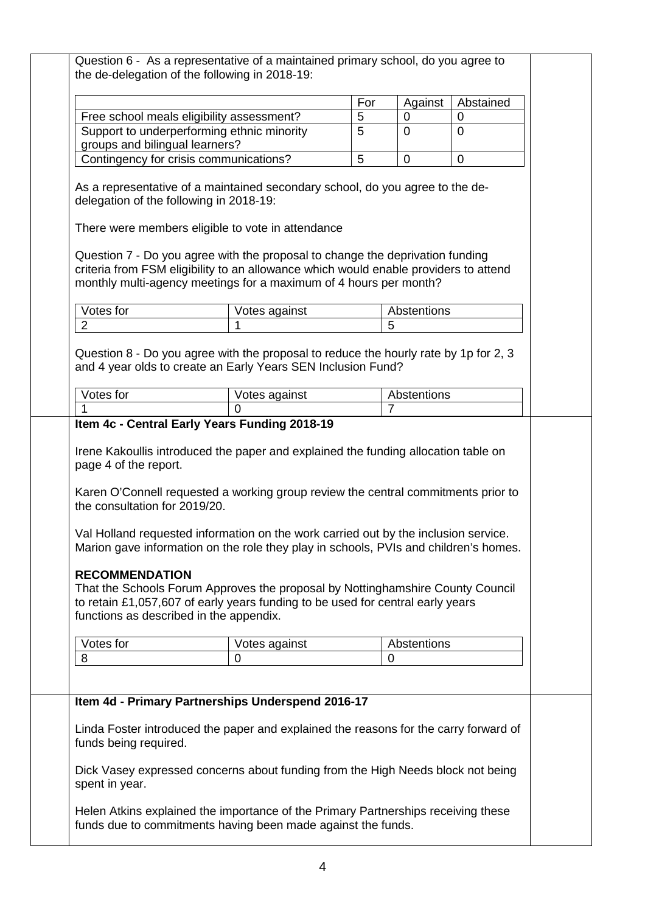|                                                                                                   |                                                                                                                                                                                                                                                                                                                                                 | For | Against     | Abstained   |
|---------------------------------------------------------------------------------------------------|-------------------------------------------------------------------------------------------------------------------------------------------------------------------------------------------------------------------------------------------------------------------------------------------------------------------------------------------------|-----|-------------|-------------|
| Free school meals eligibility assessment?                                                         |                                                                                                                                                                                                                                                                                                                                                 | 5   | 0           | 0           |
|                                                                                                   | Support to underperforming ethnic minority                                                                                                                                                                                                                                                                                                      | 5   | $\Omega$    | $\Omega$    |
| groups and bilingual learners?                                                                    |                                                                                                                                                                                                                                                                                                                                                 |     |             |             |
| Contingency for crisis communications?                                                            |                                                                                                                                                                                                                                                                                                                                                 | 5   | $\mathbf 0$ | $\mathbf 0$ |
| delegation of the following in 2018-19:                                                           | As a representative of a maintained secondary school, do you agree to the de-                                                                                                                                                                                                                                                                   |     |             |             |
|                                                                                                   | There were members eligible to vote in attendance                                                                                                                                                                                                                                                                                               |     |             |             |
|                                                                                                   | Question 7 - Do you agree with the proposal to change the deprivation funding<br>criteria from FSM eligibility to an allowance which would enable providers to attend<br>monthly multi-agency meetings for a maximum of 4 hours per month?                                                                                                      |     |             |             |
| Votes for                                                                                         | Votes against                                                                                                                                                                                                                                                                                                                                   |     | Abstentions |             |
| $\overline{2}$                                                                                    |                                                                                                                                                                                                                                                                                                                                                 |     | 5           |             |
| Votes for                                                                                         | Votes against<br>$\Omega$                                                                                                                                                                                                                                                                                                                       |     | Abstentions |             |
|                                                                                                   | Item 4c - Central Early Years Funding 2018-19                                                                                                                                                                                                                                                                                                   |     |             |             |
|                                                                                                   | Karen O'Connell requested a working group review the central commitments prior to                                                                                                                                                                                                                                                               |     |             |             |
| the consultation for 2019/20.<br><b>RECOMMENDATION</b><br>functions as described in the appendix. | Val Holland requested information on the work carried out by the inclusion service.<br>Marion gave information on the role they play in schools, PVIs and children's homes.<br>That the Schools Forum Approves the proposal by Nottinghamshire County Council<br>to retain £1,057,607 of early years funding to be used for central early years |     |             |             |
| Votes for                                                                                         | Votes against                                                                                                                                                                                                                                                                                                                                   |     | Abstentions |             |
| 8                                                                                                 | 0                                                                                                                                                                                                                                                                                                                                               |     | $\Omega$    |             |
|                                                                                                   | Item 4d - Primary Partnerships Underspend 2016-17                                                                                                                                                                                                                                                                                               |     |             |             |
| funds being required.<br>spent in year.                                                           | Linda Foster introduced the paper and explained the reasons for the carry forward of<br>Dick Vasey expressed concerns about funding from the High Needs block not being                                                                                                                                                                         |     |             |             |